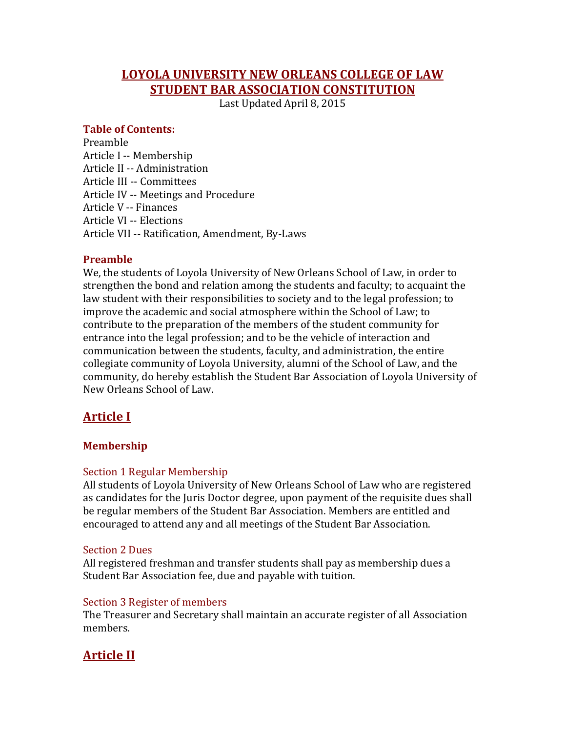# **LOYOLA UNIVERSITY NEW ORLEANS COLLEGE OF LAW STUDENT BAR ASSOCIATION CONSTITUTION**

Last Updated April 8, 2015

#### **Table of Contents:**

Preamble Article I -- Membership Article II -- Administration Article III -- Committees Article IV -- Meetings and Procedure Article V -- Finances Article VI -- Elections Article VII -- Ratification, Amendment, By-Laws

### **Preamble**

We, the students of Loyola University of New Orleans School of Law, in order to strengthen the bond and relation among the students and faculty; to acquaint the law student with their responsibilities to society and to the legal profession; to improve the academic and social atmosphere within the School of Law; to contribute to the preparation of the members of the student community for entrance into the legal profession; and to be the vehicle of interaction and communication between the students, faculty, and administration, the entire collegiate community of Loyola University, alumni of the School of Law, and the community, do hereby establish the Student Bar Association of Loyola University of New Orleans School of Law.

# **Article I**

## **Membership**

## Section 1 Regular Membership

All students of Loyola University of New Orleans School of Law who are registered as candidates for the Juris Doctor degree, upon payment of the requisite dues shall be regular members of the Student Bar Association. Members are entitled and encouraged to attend any and all meetings of the Student Bar Association.

#### Section 2 Dues

All registered freshman and transfer students shall pay as membership dues a Student Bar Association fee, due and payable with tuition.

#### Section 3 Register of members

The Treasurer and Secretary shall maintain an accurate register of all Association members.

# **Article II**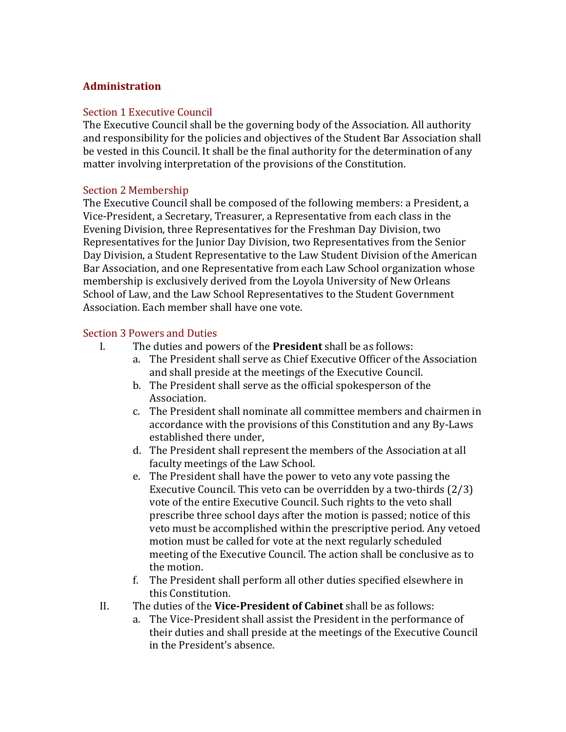#### **Administration**

#### Section 1 Executive Council

The Executive Council shall be the governing body of the Association. All authority and responsibility for the policies and objectives of the Student Bar Association shall be vested in this Council. It shall be the final authority for the determination of any matter involving interpretation of the provisions of the Constitution.

#### Section 2 Membership

The Executive Council shall be composed of the following members: a President, a Vice-President, a Secretary, Treasurer, a Representative from each class in the Evening Division, three Representatives for the Freshman Day Division, two Representatives for the Junior Day Division, two Representatives from the Senior Day Division, a Student Representative to the Law Student Division of the American Bar Association, and one Representative from each Law School organization whose membership is exclusively derived from the Loyola University of New Orleans School of Law, and the Law School Representatives to the Student Government Association. Each member shall have one vote.

#### Section 3 Powers and Duties

- I. The duties and powers of the **President** shall be as follows:
	- a. The President shall serve as Chief Executive Officer of the Association and shall preside at the meetings of the Executive Council.
	- b. The President shall serve as the official spokesperson of the Association.
	- c. The President shall nominate all committee members and chairmen in accordance with the provisions of this Constitution and any By-Laws established there under,
	- d. The President shall represent the members of the Association at all faculty meetings of the Law School.
	- e. The President shall have the power to veto any vote passing the Executive Council. This veto can be overridden by a two-thirds  $(2/3)$ vote of the entire Executive Council. Such rights to the veto shall prescribe three school days after the motion is passed; notice of this veto must be accomplished within the prescriptive period. Any vetoed motion must be called for vote at the next regularly scheduled meeting of the Executive Council. The action shall be conclusive as to the motion.
	- f. The President shall perform all other duties specified elsewhere in this Constitution.
- II. The duties of the **Vice-President of Cabinet** shall be as follows:
	- a. The Vice-President shall assist the President in the performance of their duties and shall preside at the meetings of the Executive Council in the President's absence.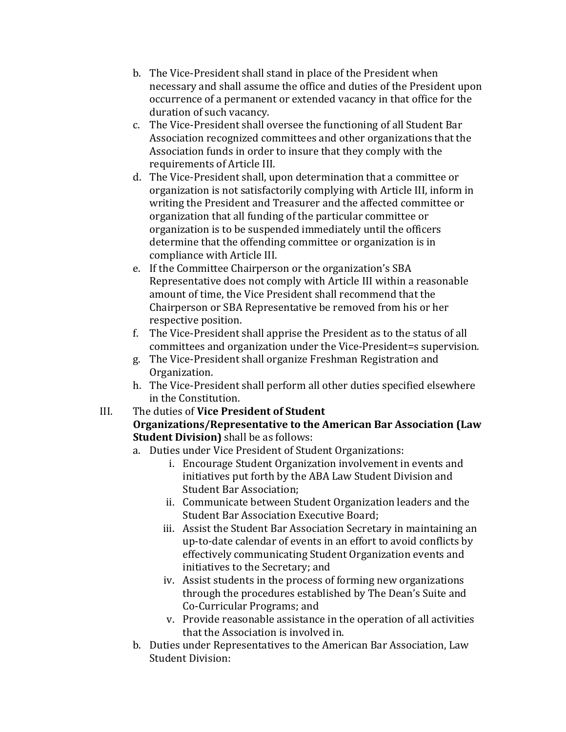- b. The Vice-President shall stand in place of the President when necessary and shall assume the office and duties of the President upon occurrence of a permanent or extended vacancy in that office for the duration of such vacancy.
- c. The Vice-President shall oversee the functioning of all Student Bar Association recognized committees and other organizations that the Association funds in order to insure that they comply with the requirements of Article III.
- d. The Vice-President shall, upon determination that a committee or organization is not satisfactorily complying with Article III, inform in writing the President and Treasurer and the affected committee or organization that all funding of the particular committee or organization is to be suspended immediately until the officers determine that the offending committee or organization is in compliance with Article III.
- e. If the Committee Chairperson or the organization's SBA Representative does not comply with Article III within a reasonable amount of time, the Vice President shall recommend that the Chairperson or SBA Representative be removed from his or her respective position.
- f. The Vice-President shall apprise the President as to the status of all committees and organization under the Vice-President=s supervision.
- g. The Vice-President shall organize Freshman Registration and Organization.
- h. The Vice-President shall perform all other duties specified elsewhere in the Constitution.

## III. The duties of **Vice President of Student Organizations/Representative to the American Bar Association (Law Student Division)** shall be as follows:

- a. Duties under Vice President of Student Organizations:
	- i. Encourage Student Organization involvement in events and initiatives put forth by the ABA Law Student Division and Student Bar Association:
	- ii. Communicate between Student Organization leaders and the Student Bar Association Executive Board;
	- iii. Assist the Student Bar Association Secretary in maintaining an up-to-date calendar of events in an effort to avoid conflicts by effectively communicating Student Organization events and initiatives to the Secretary; and
	- iv. Assist students in the process of forming new organizations through the procedures established by The Dean's Suite and Co-Curricular Programs; and
	- v. Provide reasonable assistance in the operation of all activities that the Association is involved in.
- b. Duties under Representatives to the American Bar Association, Law Student Division: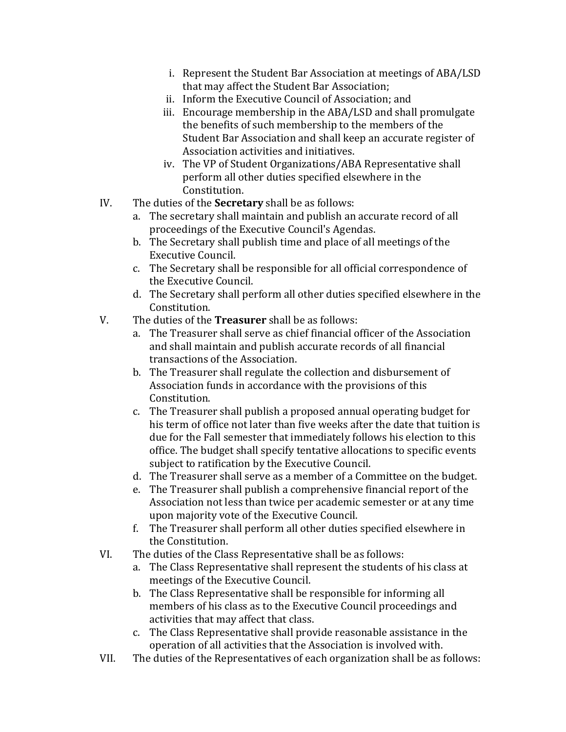- i. Represent the Student Bar Association at meetings of ABA/LSD that may affect the Student Bar Association;
- ii. Inform the Executive Council of Association: and
- iii. Encourage membership in the ABA/LSD and shall promulgate the benefits of such membership to the members of the Student Bar Association and shall keep an accurate register of Association activities and initiatives.
- iv. The VP of Student Organizations/ABA Representative shall perform all other duties specified elsewhere in the Constitution.
- IV. The duties of the **Secretary** shall be as follows:
	- a. The secretary shall maintain and publish an accurate record of all proceedings of the Executive Council's Agendas.
	- b. The Secretary shall publish time and place of all meetings of the Executive Council.
	- c. The Secretary shall be responsible for all official correspondence of the Executive Council.
	- d. The Secretary shall perform all other duties specified elsewhere in the Constitution.
- V. The duties of the **Treasurer** shall be as follows:
	- a. The Treasurer shall serve as chief financial officer of the Association and shall maintain and publish accurate records of all financial transactions of the Association.
	- b. The Treasurer shall regulate the collection and disbursement of Association funds in accordance with the provisions of this Constitution.
	- c. The Treasurer shall publish a proposed annual operating budget for his term of office not later than five weeks after the date that tuition is due for the Fall semester that immediately follows his election to this office. The budget shall specify tentative allocations to specific events subject to ratification by the Executive Council.
	- d. The Treasurer shall serve as a member of a Committee on the budget.
	- e. The Treasurer shall publish a comprehensive financial report of the Association not less than twice per academic semester or at any time upon majority vote of the Executive Council.
	- f. The Treasurer shall perform all other duties specified elsewhere in the Constitution.
- VI. The duties of the Class Representative shall be as follows:
	- a. The Class Representative shall represent the students of his class at meetings of the Executive Council.
	- b. The Class Representative shall be responsible for informing all members of his class as to the Executive Council proceedings and activities that may affect that class.
	- c. The Class Representative shall provide reasonable assistance in the operation of all activities that the Association is involved with.
- VII. The duties of the Representatives of each organization shall be as follows: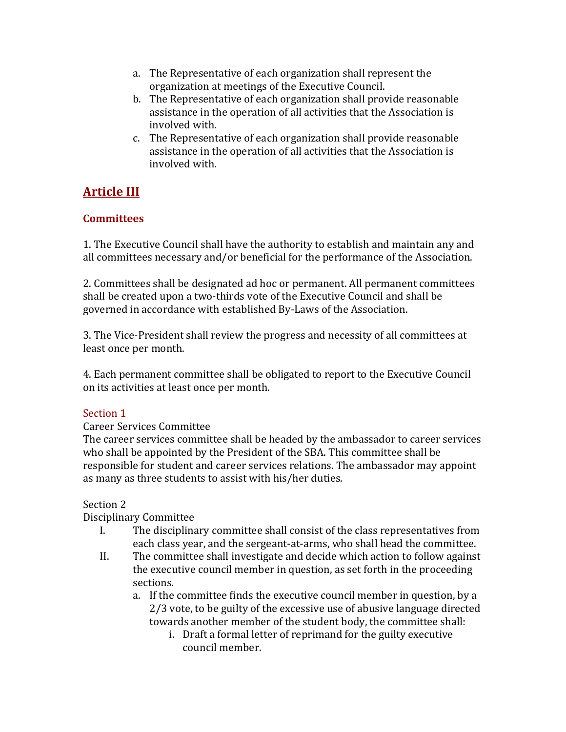- a. The Representative of each organization shall represent the organization at meetings of the Executive Council.
- b. The Representative of each organization shall provide reasonable assistance in the operation of all activities that the Association is involved with.
- c. The Representative of each organization shall provide reasonable assistance in the operation of all activities that the Association is involved with.

# **Article III**

## **Committees**

1. The Executive Council shall have the authority to establish and maintain any and all committees necessary and/or beneficial for the performance of the Association.

2. Committees shall be designated ad hoc or permanent. All permanent committees shall be created upon a two-thirds vote of the Executive Council and shall be governed in accordance with established By-Laws of the Association.

3. The Vice-President shall review the progress and necessity of all committees at least once per month.

4. Each permanent committee shall be obligated to report to the Executive Council on its activities at least once per month.

# Section 1

## Career Services Committee

The career services committee shall be headed by the ambassador to career services who shall be appointed by the President of the SBA. This committee shall be responsible for student and career services relations. The ambassador may appoint as many as three students to assist with his/her duties.

# Section 2

# Disciplinary Committee

- I. The disciplinary committee shall consist of the class representatives from each class year, and the sergeant-at-arms, who shall head the committee.
- II. The committee shall investigate and decide which action to follow against the executive council member in question, as set forth in the proceeding sections.
	- a. If the committee finds the executive council member in question, by a 2/3 vote, to be guilty of the excessive use of abusive language directed towards another member of the student body, the committee shall:
		- i. Draft a formal letter of reprimand for the guilty executive council member.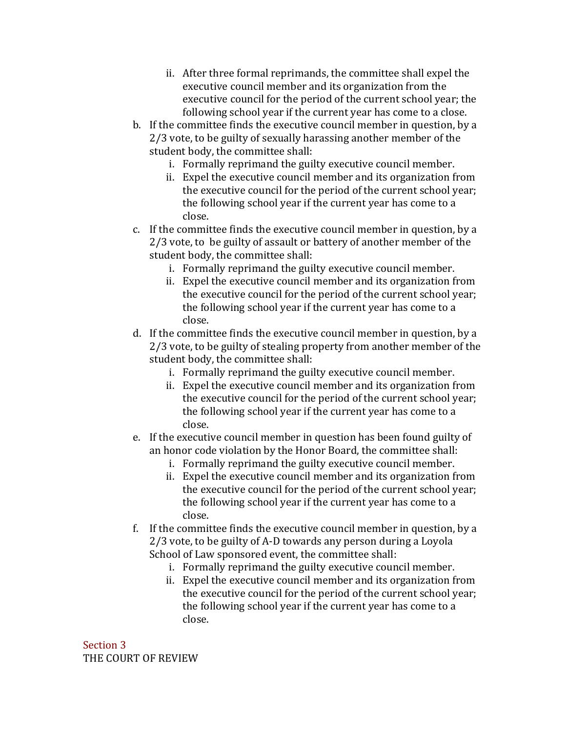- ii. After three formal reprimands, the committee shall expel the executive council member and its organization from the executive council for the period of the current school year; the following school year if the current year has come to a close.
- b. If the committee finds the executive council member in question, by a 2/3 vote, to be guilty of sexually harassing another member of the student body, the committee shall:
	- i. Formally reprimand the guilty executive council member.
	- ii. Expel the executive council member and its organization from the executive council for the period of the current school year; the following school year if the current year has come to a close.
- c. If the committee finds the executive council member in question, by a 2/3 vote, to be guilty of assault or battery of another member of the student body, the committee shall:
	- i. Formally reprimand the guilty executive council member.
	- ii. Expel the executive council member and its organization from the executive council for the period of the current school year; the following school year if the current year has come to a close.
- d. If the committee finds the executive council member in question, by a 2/3 vote, to be guilty of stealing property from another member of the student body, the committee shall:
	- i. Formally reprimand the guilty executive council member.
	- ii. Expel the executive council member and its organization from the executive council for the period of the current school year; the following school year if the current year has come to a close.
- e. If the executive council member in question has been found guilty of an honor code violation by the Honor Board, the committee shall:
	- i. Formally reprimand the guilty executive council member.
	- ii. Expel the executive council member and its organization from the executive council for the period of the current school year; the following school year if the current year has come to a close.
- f. If the committee finds the executive council member in question, by a 2/3 vote, to be guilty of A-D towards any person during a Loyola School of Law sponsored event, the committee shall:
	- i. Formally reprimand the guilty executive council member.
	- ii. Expel the executive council member and its organization from the executive council for the period of the current school year; the following school year if the current year has come to a close.

Section 3 THE COURT OF REVIEW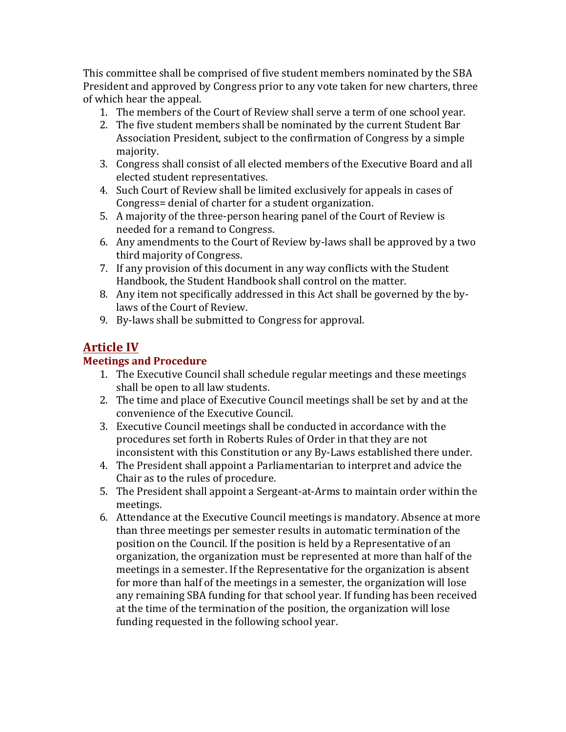This committee shall be comprised of five student members nominated by the SBA President and approved by Congress prior to any vote taken for new charters, three of which hear the appeal.

- 1. The members of the Court of Review shall serve a term of one school year.
- 2. The five student members shall be nominated by the current Student Bar Association President, subject to the confirmation of Congress by a simple majority.
- 3. Congress shall consist of all elected members of the Executive Board and all elected student representatives.
- 4. Such Court of Review shall be limited exclusively for appeals in cases of Congress= denial of charter for a student organization.
- 5. A majority of the three-person hearing panel of the Court of Review is needed for a remand to Congress.
- 6. Any amendments to the Court of Review by-laws shall be approved by a two third majority of Congress.
- 7. If any provision of this document in any way conflicts with the Student Handbook, the Student Handbook shall control on the matter.
- 8. Any item not specifically addressed in this Act shall be governed by the bylaws of the Court of Review.
- 9. By-laws shall be submitted to Congress for approval.

# **Article IV**

# **Meetings and Procedure**

- 1. The Executive Council shall schedule regular meetings and these meetings shall be open to all law students.
- 2. The time and place of Executive Council meetings shall be set by and at the convenience of the Executive Council.
- 3. Executive Council meetings shall be conducted in accordance with the procedures set forth in Roberts Rules of Order in that they are not inconsistent with this Constitution or any By-Laws established there under.
- 4. The President shall appoint a Parliamentarian to interpret and advice the Chair as to the rules of procedure.
- 5. The President shall appoint a Sergeant-at-Arms to maintain order within the meetings.
- 6. Attendance at the Executive Council meetings is mandatory. Absence at more than three meetings per semester results in automatic termination of the position on the Council. If the position is held by a Representative of an  $\alpha$  organization, the organization must be represented at more than half of the meetings in a semester. If the Representative for the organization is absent for more than half of the meetings in a semester, the organization will lose any remaining SBA funding for that school year. If funding has been received at the time of the termination of the position, the organization will lose funding requested in the following school year.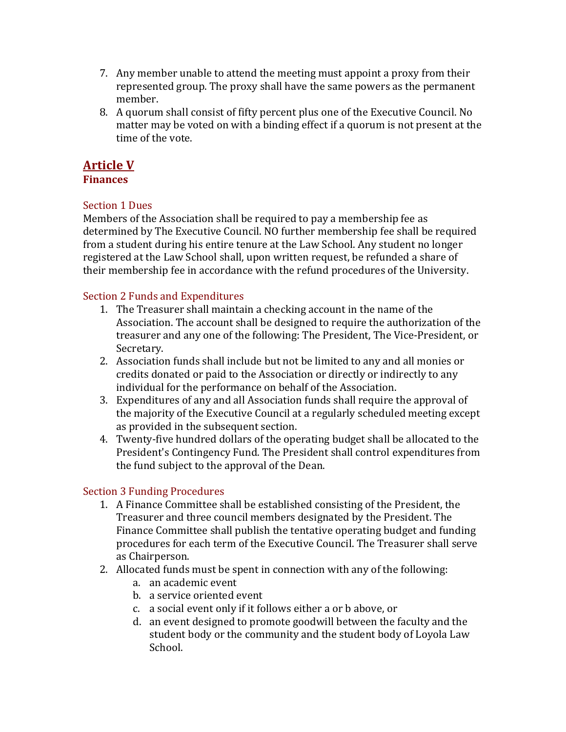- 7. Any member unable to attend the meeting must appoint a proxy from their represented group. The proxy shall have the same powers as the permanent member.
- 8. A quorum shall consist of fifty percent plus one of the Executive Council. No matter may be voted on with a binding effect if a quorum is not present at the time of the vote.

# **Article V**

#### **Finances**

## Section 1 Dues

Members of the Association shall be required to pay a membership fee as determined by The Executive Council. NO further membership fee shall be required from a student during his entire tenure at the Law School. Any student no longer registered at the Law School shall, upon written request, be refunded a share of their membership fee in accordance with the refund procedures of the University.

### Section 2 Funds and Expenditures

- 1. The Treasurer shall maintain a checking account in the name of the Association. The account shall be designed to require the authorization of the treasurer and any one of the following: The President, The Vice-President, or Secretary.
- 2. Association funds shall include but not be limited to any and all monies or credits donated or paid to the Association or directly or indirectly to any individual for the performance on behalf of the Association.
- 3. Expenditures of any and all Association funds shall require the approval of the majority of the Executive Council at a regularly scheduled meeting except as provided in the subsequent section.
- 4. Twenty-five hundred dollars of the operating budget shall be allocated to the President's Contingency Fund. The President shall control expenditures from the fund subject to the approval of the Dean.

## Section 3 Funding Procedures

- 1. A Finance Committee shall be established consisting of the President, the Treasurer and three council members designated by the President. The Finance Committee shall publish the tentative operating budget and funding procedures for each term of the Executive Council. The Treasurer shall serve as Chairperson.
- 2. Allocated funds must be spent in connection with any of the following:
	- a. an academic event
	- b. a service oriented event
	- c. a social event only if it follows either a or b above, or
	- d. an event designed to promote goodwill between the faculty and the student body or the community and the student body of Loyola Law School.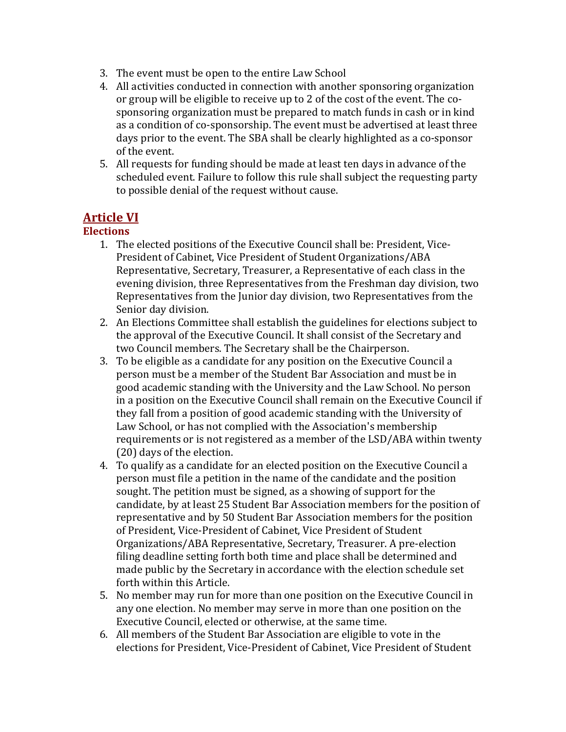- 3. The event must be open to the entire Law School
- 4. All activities conducted in connection with another sponsoring organization or group will be eligible to receive up to 2 of the cost of the event. The cosponsoring organization must be prepared to match funds in cash or in kind as a condition of co-sponsorship. The event must be advertised at least three days prior to the event. The SBA shall be clearly highlighted as a co-sponsor of the event.
- 5. All requests for funding should be made at least ten days in advance of the scheduled event. Failure to follow this rule shall subject the requesting party to possible denial of the request without cause.

# **Article VI**

### **Elections**

- 1. The elected positions of the Executive Council shall be: President, Vice-President of Cabinet, Vice President of Student Organizations/ABA Representative, Secretary, Treasurer, a Representative of each class in the evening division, three Representatives from the Freshman day division, two Representatives from the Junior day division, two Representatives from the Senior day division.
- 2. An Elections Committee shall establish the guidelines for elections subject to the approval of the Executive Council. It shall consist of the Secretary and two Council members. The Secretary shall be the Chairperson.
- 3. To be eligible as a candidate for any position on the Executive Council a person must be a member of the Student Bar Association and must be in good academic standing with the University and the Law School. No person in a position on the Executive Council shall remain on the Executive Council if they fall from a position of good academic standing with the University of Law School, or has not complied with the Association's membership requirements or is not registered as a member of the LSD/ABA within twenty (20) days of the election.
- 4. To qualify as a candidate for an elected position on the Executive Council a person must file a petition in the name of the candidate and the position sought. The petition must be signed, as a showing of support for the candidate, by at least 25 Student Bar Association members for the position of representative and by 50 Student Bar Association members for the position of President, Vice-President of Cabinet, Vice President of Student Organizations/ABA Representative, Secretary, Treasurer. A pre-election filing deadline setting forth both time and place shall be determined and made public by the Secretary in accordance with the election schedule set forth within this Article.
- 5. No member may run for more than one position on the Executive Council in any one election. No member may serve in more than one position on the Executive Council, elected or otherwise, at the same time.
- 6. All members of the Student Bar Association are eligible to vote in the elections for President, Vice-President of Cabinet, Vice President of Student